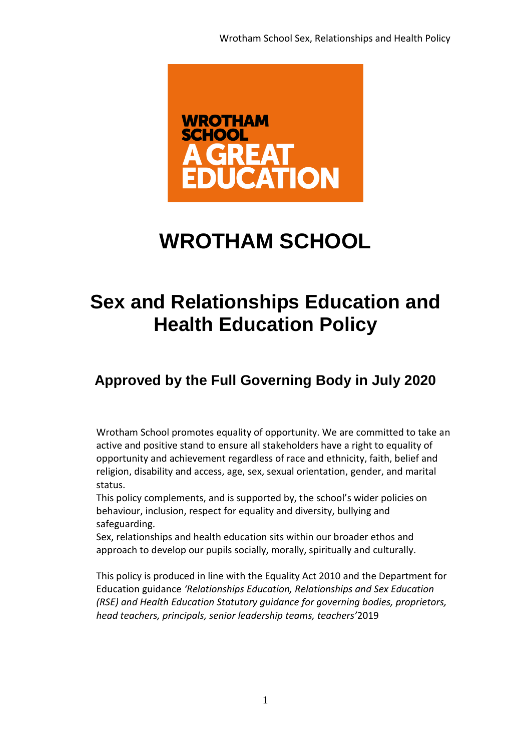

# **WROTHAM SCHOOL**

# **Sex and Relationships Education and Health Education Policy**

# **Approved by the Full Governing Body in July 2020**

Wrotham School promotes equality of opportunity. We are committed to take an active and positive stand to ensure all stakeholders have a right to equality of opportunity and achievement regardless of race and ethnicity, faith, belief and religion, disability and access, age, sex, sexual orientation, gender, and marital status.

This policy complements, and is supported by, the school's wider policies on behaviour, inclusion, respect for equality and diversity, bullying and safeguarding.

Sex, relationships and health education sits within our broader ethos and approach to develop our pupils socially, morally, spiritually and culturally.

This policy is produced in line with the Equality Act 2010 and the Department for Education guidance *'Relationships Education, Relationships and Sex Education (RSE) and Health Education Statutory guidance for governing bodies, proprietors, head teachers, principals, senior leadership teams, teachers'*2019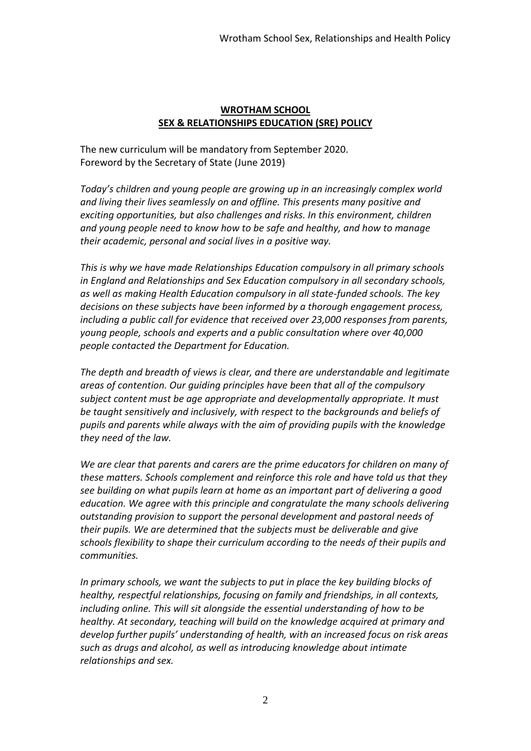## **WROTHAM SCHOOL SEX & RELATIONSHIPS EDUCATION (SRE) POLICY**

The new curriculum will be mandatory from September 2020. Foreword by the Secretary of State (June 2019)

*Today's children and young people are growing up in an increasingly complex world and living their lives seamlessly on and offline. This presents many positive and exciting opportunities, but also challenges and risks. In this environment, children and young people need to know how to be safe and healthy, and how to manage their academic, personal and social lives in a positive way.*

*This is why we have made Relationships Education compulsory in all primary schools in England and Relationships and Sex Education compulsory in all secondary schools, as well as making Health Education compulsory in all state-funded schools. The key decisions on these subjects have been informed by a thorough engagement process, including a public call for evidence that received over 23,000 responses from parents, young people, schools and experts and a public consultation where over 40,000 people contacted the Department for Education.*

*The depth and breadth of views is clear, and there are understandable and legitimate areas of contention. Our guiding principles have been that all of the compulsory subject content must be age appropriate and developmentally appropriate. It must be taught sensitively and inclusively, with respect to the backgrounds and beliefs of pupils and parents while always with the aim of providing pupils with the knowledge they need of the law.*

*We are clear that parents and carers are the prime educators for children on many of these matters. Schools complement and reinforce this role and have told us that they see building on what pupils learn at home as an important part of delivering a good education. We agree with this principle and congratulate the many schools delivering outstanding provision to support the personal development and pastoral needs of their pupils. We are determined that the subjects must be deliverable and give schools flexibility to shape their curriculum according to the needs of their pupils and communities.*

*In primary schools, we want the subjects to put in place the key building blocks of healthy, respectful relationships, focusing on family and friendships, in all contexts, including online. This will sit alongside the essential understanding of how to be healthy. At secondary, teaching will build on the knowledge acquired at primary and develop further pupils' understanding of health, with an increased focus on risk areas such as drugs and alcohol, as well as introducing knowledge about intimate relationships and sex.*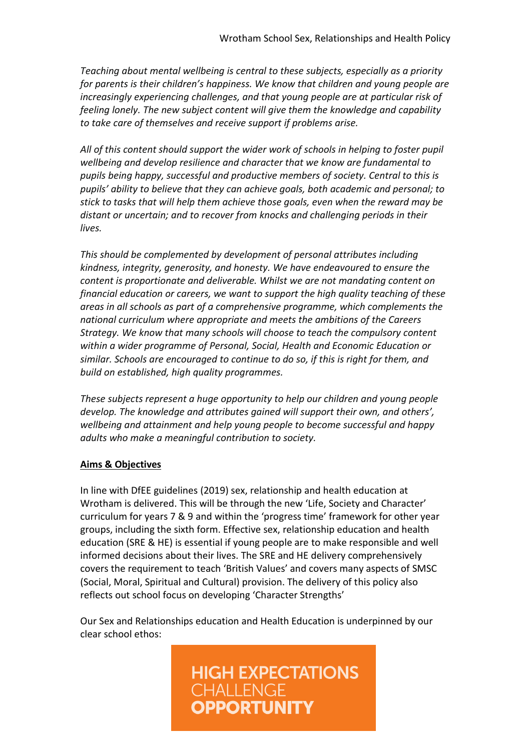*Teaching about mental wellbeing is central to these subjects, especially as a priority for parents is their children's happiness. We know that children and young people are increasingly experiencing challenges, and that young people are at particular risk of feeling lonely. The new subject content will give them the knowledge and capability to take care of themselves and receive support if problems arise.*

*All of this content should support the wider work of schools in helping to foster pupil wellbeing and develop resilience and character that we know are fundamental to pupils being happy, successful and productive members of society. Central to this is pupils' ability to believe that they can achieve goals, both academic and personal; to stick to tasks that will help them achieve those goals, even when the reward may be distant or uncertain; and to recover from knocks and challenging periods in their lives.*

*This should be complemented by development of personal attributes including kindness, integrity, generosity, and honesty. We have endeavoured to ensure the content is proportionate and deliverable. Whilst we are not mandating content on financial education or careers, we want to support the high quality teaching of these areas in all schools as part of a comprehensive programme, which complements the national curriculum where appropriate and meets the ambitions of the Careers Strategy. We know that many schools will choose to teach the compulsory content within a wider programme of Personal, Social, Health and Economic Education or similar. Schools are encouraged to continue to do so, if this is right for them, and build on established, high quality programmes.*

*These subjects represent a huge opportunity to help our children and young people develop. The knowledge and attributes gained will support their own, and others', wellbeing and attainment and help young people to become successful and happy adults who make a meaningful contribution to society.*

# **Aims & Objectives**

In line with DfEE guidelines (2019) sex, relationship and health education at Wrotham is delivered. This will be through the new 'Life, Society and Character' curriculum for years 7 & 9 and within the 'progress time' framework for other year groups, including the sixth form. Effective sex, relationship education and health education (SRE & HE) is essential if young people are to make responsible and well informed decisions about their lives. The SRE and HE delivery comprehensively covers the requirement to teach 'British Values' and covers many aspects of SMSC (Social, Moral, Spiritual and Cultural) provision. The delivery of this policy also reflects out school focus on developing 'Character Strengths'

Our Sex and Relationships education and Health Education is underpinned by our clear school ethos:

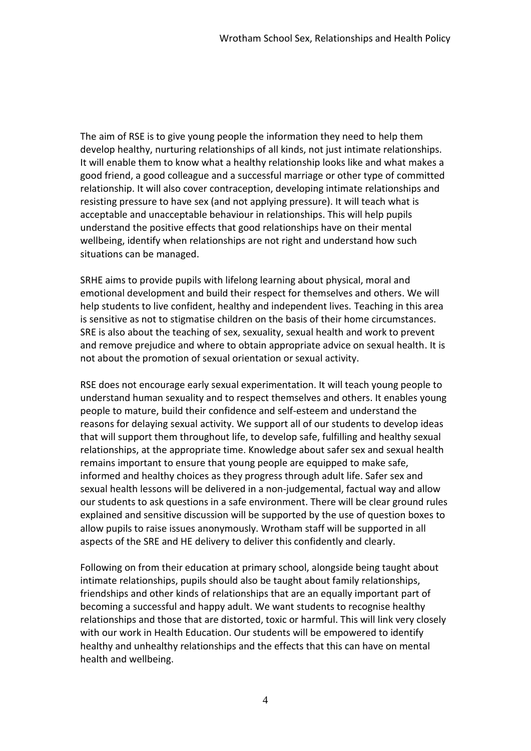The aim of RSE is to give young people the information they need to help them develop healthy, nurturing relationships of all kinds, not just intimate relationships. It will enable them to know what a healthy relationship looks like and what makes a good friend, a good colleague and a successful marriage or other type of committed relationship. It will also cover contraception, developing intimate relationships and resisting pressure to have sex (and not applying pressure). It will teach what is acceptable and unacceptable behaviour in relationships. This will help pupils understand the positive effects that good relationships have on their mental wellbeing, identify when relationships are not right and understand how such situations can be managed.

SRHE aims to provide pupils with lifelong learning about physical, moral and emotional development and build their respect for themselves and others. We will help students to live confident, healthy and independent lives. Teaching in this area is sensitive as not to stigmatise children on the basis of their home circumstances. SRE is also about the teaching of sex, sexuality, sexual health and work to prevent and remove prejudice and where to obtain appropriate advice on sexual health. It is not about the promotion of sexual orientation or sexual activity.

RSE does not encourage early sexual experimentation. It will teach young people to understand human sexuality and to respect themselves and others. It enables young people to mature, build their confidence and self-esteem and understand the reasons for delaying sexual activity. We support all of our students to develop ideas that will support them throughout life, to develop safe, fulfilling and healthy sexual relationships, at the appropriate time. Knowledge about safer sex and sexual health remains important to ensure that young people are equipped to make safe, informed and healthy choices as they progress through adult life. Safer sex and sexual health lessons will be delivered in a non-judgemental, factual way and allow our students to ask questions in a safe environment. There will be clear ground rules explained and sensitive discussion will be supported by the use of question boxes to allow pupils to raise issues anonymously. Wrotham staff will be supported in all aspects of the SRE and HE delivery to deliver this confidently and clearly.

Following on from their education at primary school, alongside being taught about intimate relationships, pupils should also be taught about family relationships, friendships and other kinds of relationships that are an equally important part of becoming a successful and happy adult. We want students to recognise healthy relationships and those that are distorted, toxic or harmful. This will link very closely with our work in Health Education. Our students will be empowered to identify healthy and unhealthy relationships and the effects that this can have on mental health and wellbeing.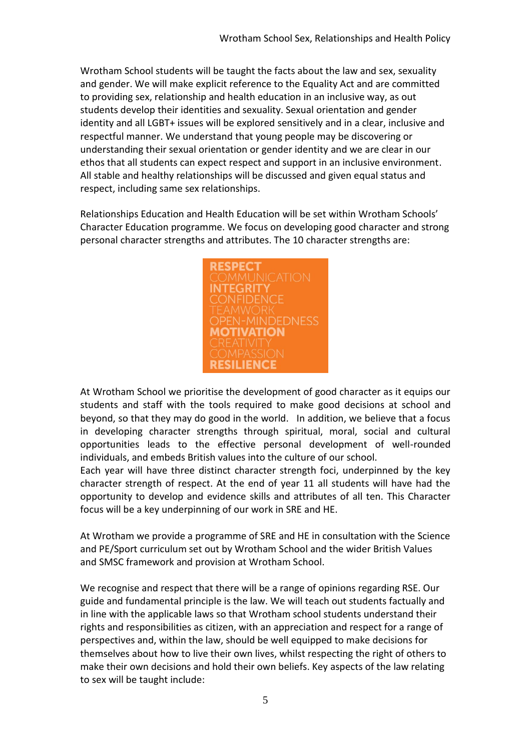Wrotham School students will be taught the facts about the law and sex, sexuality and gender. We will make explicit reference to the Equality Act and are committed to providing sex, relationship and health education in an inclusive way, as out students develop their identities and sexuality. Sexual orientation and gender identity and all LGBT+ issues will be explored sensitively and in a clear, inclusive and respectful manner. We understand that young people may be discovering or understanding their sexual orientation or gender identity and we are clear in our ethos that all students can expect respect and support in an inclusive environment. All stable and healthy relationships will be discussed and given equal status and respect, including same sex relationships.

Relationships Education and Health Education will be set within Wrotham Schools' Character Education programme. We focus on developing good character and strong personal character strengths and attributes. The 10 character strengths are:



At Wrotham School we prioritise the development of good character as it equips our students and staff with the tools required to make good decisions at school and beyond, so that they may do good in the world. In addition, we believe that a focus in developing character strengths through spiritual, moral, social and cultural opportunities leads to the effective personal development of well-rounded individuals, and embeds British values into the culture of our school.

Each year will have three distinct character strength foci, underpinned by the key character strength of respect. At the end of year 11 all students will have had the opportunity to develop and evidence skills and attributes of all ten. This Character focus will be a key underpinning of our work in SRE and HE.

At Wrotham we provide a programme of SRE and HE in consultation with the Science and PE/Sport curriculum set out by Wrotham School and the wider British Values and SMSC framework and provision at Wrotham School.

We recognise and respect that there will be a range of opinions regarding RSE. Our guide and fundamental principle is the law. We will teach out students factually and in line with the applicable laws so that Wrotham school students understand their rights and responsibilities as citizen, with an appreciation and respect for a range of perspectives and, within the law, should be well equipped to make decisions for themselves about how to live their own lives, whilst respecting the right of others to make their own decisions and hold their own beliefs. Key aspects of the law relating to sex will be taught include: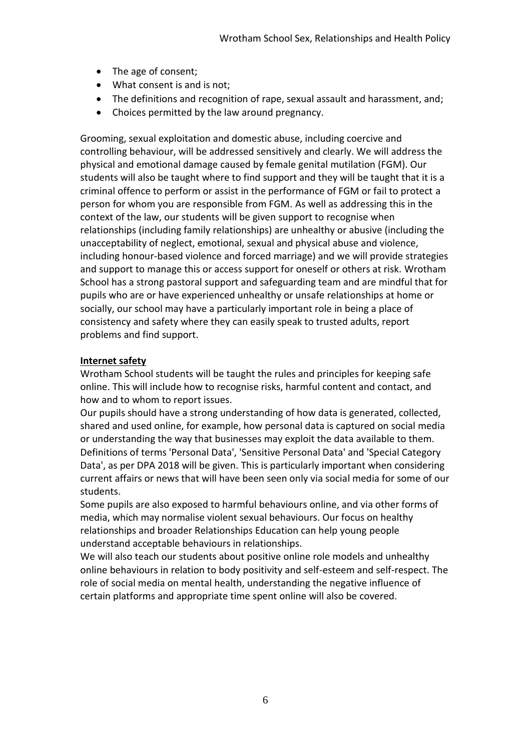- The age of consent;
- What consent is and is not;
- The definitions and recognition of rape, sexual assault and harassment, and;
- Choices permitted by the law around pregnancy.

Grooming, sexual exploitation and domestic abuse, including coercive and controlling behaviour, will be addressed sensitively and clearly. We will address the physical and emotional damage caused by female genital mutilation (FGM). Our students will also be taught where to find support and they will be taught that it is a criminal offence to perform or assist in the performance of FGM or fail to protect a person for whom you are responsible from FGM. As well as addressing this in the context of the law, our students will be given support to recognise when relationships (including family relationships) are unhealthy or abusive (including the unacceptability of neglect, emotional, sexual and physical abuse and violence, including honour-based violence and forced marriage) and we will provide strategies and support to manage this or access support for oneself or others at risk. Wrotham School has a strong pastoral support and safeguarding team and are mindful that for pupils who are or have experienced unhealthy or unsafe relationships at home or socially, our school may have a particularly important role in being a place of consistency and safety where they can easily speak to trusted adults, report problems and find support.

# **Internet safety**

Wrotham School students will be taught the rules and principles for keeping safe online. This will include how to recognise risks, harmful content and contact, and how and to whom to report issues.

Our pupils should have a strong understanding of how data is generated, collected, shared and used online, for example, how personal data is captured on social media or understanding the way that businesses may exploit the data available to them. Definitions of terms 'Personal Data', 'Sensitive Personal Data' and 'Special Category Data', as per DPA 2018 will be given. This is particularly important when considering current affairs or news that will have been seen only via social media for some of our students.

Some pupils are also exposed to harmful behaviours online, and via other forms of media, which may normalise violent sexual behaviours. Our focus on healthy relationships and broader Relationships Education can help young people understand acceptable behaviours in relationships.

We will also teach our students about positive online role models and unhealthy online behaviours in relation to body positivity and self-esteem and self-respect. The role of social media on mental health, understanding the negative influence of certain platforms and appropriate time spent online will also be covered.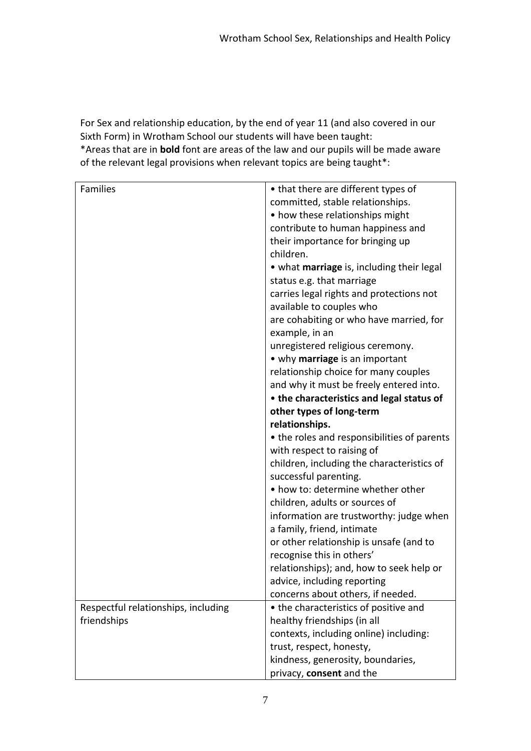For Sex and relationship education, by the end of year 11 (and also covered in our Sixth Form) in Wrotham School our students will have been taught:

\*Areas that are in **bold** font are areas of the law and our pupils will be made aware of the relevant legal provisions when relevant topics are being taught\*:

| <b>Families</b>                     | • that there are different types of         |
|-------------------------------------|---------------------------------------------|
|                                     | committed, stable relationships.            |
|                                     | • how these relationships might             |
|                                     | contribute to human happiness and           |
|                                     | their importance for bringing up            |
|                                     | children.                                   |
|                                     | • what marriage is, including their legal   |
|                                     | status e.g. that marriage                   |
|                                     | carries legal rights and protections not    |
|                                     |                                             |
|                                     | available to couples who                    |
|                                     | are cohabiting or who have married, for     |
|                                     | example, in an                              |
|                                     | unregistered religious ceremony.            |
|                                     | • why marriage is an important              |
|                                     | relationship choice for many couples        |
|                                     | and why it must be freely entered into.     |
|                                     | • the characteristics and legal status of   |
|                                     | other types of long-term                    |
|                                     | relationships.                              |
|                                     | • the roles and responsibilities of parents |
|                                     | with respect to raising of                  |
|                                     | children, including the characteristics of  |
|                                     | successful parenting.                       |
|                                     | • how to: determine whether other           |
|                                     | children, adults or sources of              |
|                                     | information are trustworthy: judge when     |
|                                     | a family, friend, intimate                  |
|                                     | or other relationship is unsafe (and to     |
|                                     | recognise this in others'                   |
|                                     | relationships); and, how to seek help or    |
|                                     | advice, including reporting                 |
|                                     | concerns about others, if needed.           |
| Respectful relationships, including | • the characteristics of positive and       |
| friendships                         | healthy friendships (in all                 |
|                                     | contexts, including online) including:      |
|                                     | trust, respect, honesty,                    |
|                                     | kindness, generosity, boundaries,           |
|                                     | privacy, consent and the                    |
|                                     |                                             |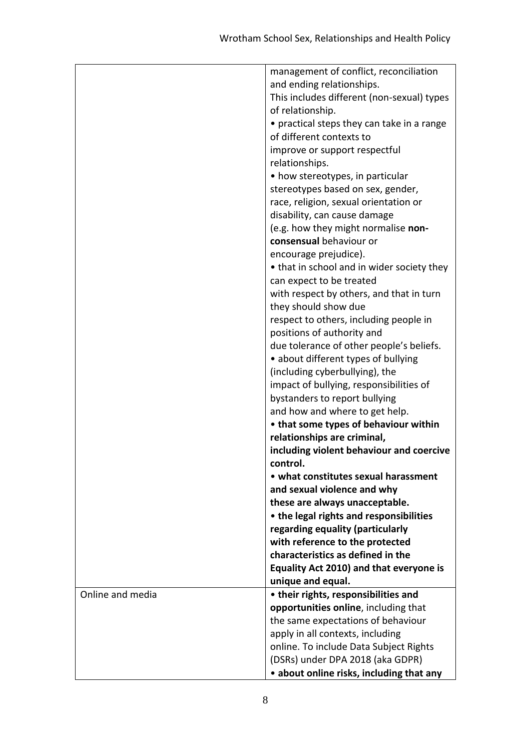|                  | management of conflict, reconciliation     |
|------------------|--------------------------------------------|
|                  | and ending relationships.                  |
|                  | This includes different (non-sexual) types |
|                  | of relationship.                           |
|                  | • practical steps they can take in a range |
|                  | of different contexts to                   |
|                  | improve or support respectful              |
|                  | relationships.                             |
|                  | • how stereotypes, in particular           |
|                  | stereotypes based on sex, gender,          |
|                  | race, religion, sexual orientation or      |
|                  | disability, can cause damage               |
|                  | (e.g. how they might normalise non-        |
|                  | consensual behaviour or                    |
|                  | encourage prejudice).                      |
|                  | • that in school and in wider society they |
|                  | can expect to be treated                   |
|                  | with respect by others, and that in turn   |
|                  | they should show due                       |
|                  | respect to others, including people in     |
|                  | positions of authority and                 |
|                  | due tolerance of other people's beliefs.   |
|                  | • about different types of bullying        |
|                  |                                            |
|                  | (including cyberbullying), the             |
|                  | impact of bullying, responsibilities of    |
|                  | bystanders to report bullying              |
|                  | and how and where to get help.             |
|                  | • that some types of behaviour within      |
|                  | relationships are criminal,                |
|                  | including violent behaviour and coercive   |
|                  | control.                                   |
|                  | • what constitutes sexual harassment       |
|                  | and sexual violence and why                |
|                  | these are always unacceptable.             |
|                  | • the legal rights and responsibilities    |
|                  | regarding equality (particularly           |
|                  | with reference to the protected            |
|                  | characteristics as defined in the          |
|                  | Equality Act 2010) and that everyone is    |
|                  | unique and equal.                          |
| Online and media | • their rights, responsibilities and       |
|                  | opportunities online, including that       |
|                  | the same expectations of behaviour         |
|                  | apply in all contexts, including           |
|                  | online. To include Data Subject Rights     |
|                  | (DSRs) under DPA 2018 (aka GDPR)           |
|                  | • about online risks, including that any   |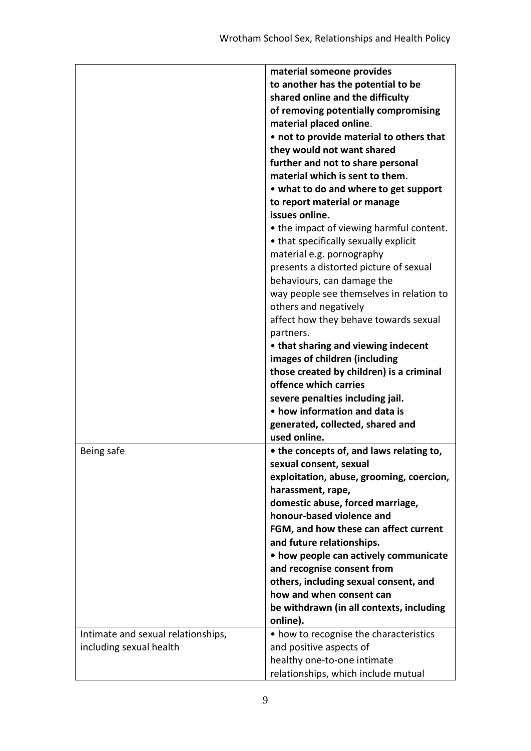|                                    | material someone provides                |
|------------------------------------|------------------------------------------|
|                                    | to another has the potential to be       |
|                                    | shared online and the difficulty         |
|                                    | of removing potentially compromising     |
|                                    | material placed online.                  |
|                                    | • not to provide material to others that |
|                                    | they would not want shared               |
|                                    | further and not to share personal        |
|                                    | material which is sent to them.          |
|                                    |                                          |
|                                    | • what to do and where to get support    |
|                                    | to report material or manage             |
|                                    | issues online.                           |
|                                    | • the impact of viewing harmful content. |
|                                    | • that specifically sexually explicit    |
|                                    | material e.g. pornography                |
|                                    | presents a distorted picture of sexual   |
|                                    | behaviours, can damage the               |
|                                    | way people see themselves in relation to |
|                                    | others and negatively                    |
|                                    | affect how they behave towards sexual    |
|                                    | partners.                                |
|                                    | • that sharing and viewing indecent      |
|                                    | images of children (including            |
|                                    | those created by children) is a criminal |
|                                    | offence which carries                    |
|                                    | severe penalties including jail.         |
|                                    | • how information and data is            |
|                                    | generated, collected, shared and         |
|                                    | used online.                             |
| Being safe                         | • the concepts of, and laws relating to, |
|                                    | sexual consent, sexual                   |
|                                    | exploitation, abuse, grooming, coercion, |
|                                    | harassment, rape,                        |
|                                    | domestic abuse, forced marriage,         |
|                                    | honour-based violence and                |
|                                    | FGM, and how these can affect current    |
|                                    | and future relationships.                |
|                                    | • how people can actively communicate    |
|                                    | and recognise consent from               |
|                                    | others, including sexual consent, and    |
|                                    | how and when consent can                 |
|                                    | be withdrawn (in all contexts, including |
|                                    | online).                                 |
|                                    | • how to recognise the characteristics   |
| Intimate and sexual relationships, |                                          |
| including sexual health            | and positive aspects of                  |
|                                    | healthy one-to-one intimate              |
|                                    | relationships, which include mutual      |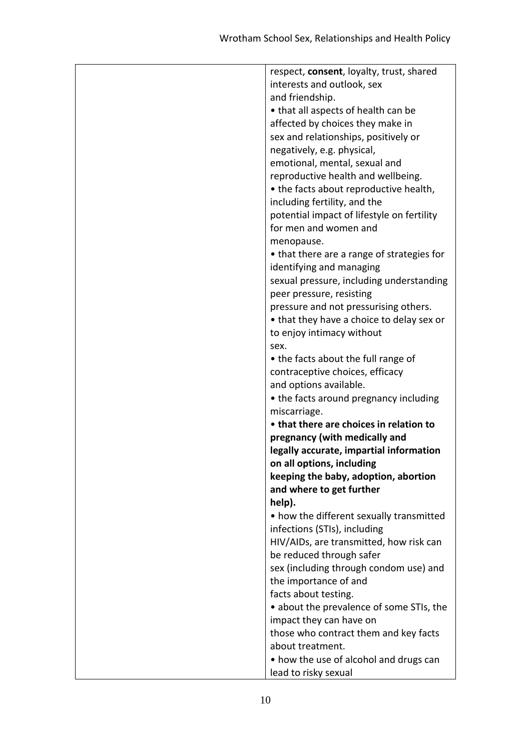| respect, consent, loyalty, trust, shared   |
|--------------------------------------------|
| interests and outlook, sex                 |
| and friendship.                            |
| • that all aspects of health can be        |
| affected by choices they make in           |
| sex and relationships, positively or       |
| negatively, e.g. physical,                 |
| emotional, mental, sexual and              |
| reproductive health and wellbeing.         |
| • the facts about reproductive health,     |
| including fertility, and the               |
| potential impact of lifestyle on fertility |
| for men and women and                      |
| menopause.                                 |
| • that there are a range of strategies for |
| identifying and managing                   |
| sexual pressure, including understanding   |
| peer pressure, resisting                   |
| pressure and not pressurising others.      |
| • that they have a choice to delay sex or  |
| to enjoy intimacy without                  |
| sex.                                       |
| • the facts about the full range of        |
| contraceptive choices, efficacy            |
| and options available.                     |
| • the facts around pregnancy including     |
| miscarriage.                               |
| • that there are choices in relation to    |
| pregnancy (with medically and              |
| legally accurate, impartial information    |
| on all options, including                  |
| keeping the baby, adoption, abortion       |
| and where to get further                   |
| help).                                     |
| • how the different sexually transmitted   |
| infections (STIs), including               |
| HIV/AIDs, are transmitted, how risk can    |
| be reduced through safer                   |
| sex (including through condom use) and     |
| the importance of and                      |
| facts about testing.                       |
| • about the prevalence of some STIs, the   |
| impact they can have on                    |
| those who contract them and key facts      |
| about treatment.                           |
| • how the use of alcohol and drugs can     |
| lead to risky sexual                       |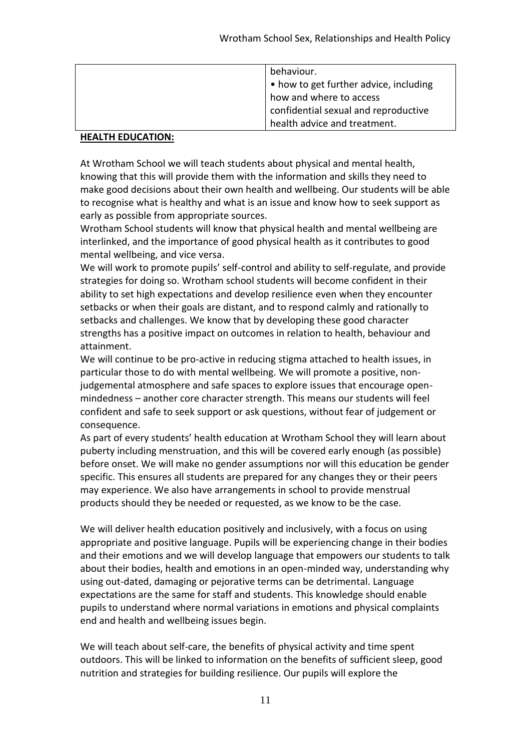| behaviour.<br>• how to get further advice, including<br>how and where to access |
|---------------------------------------------------------------------------------|
| confidential sexual and reproductive                                            |
| health advice and treatment.                                                    |

# **HEALTH EDUCATION:**

At Wrotham School we will teach students about physical and mental health, knowing that this will provide them with the information and skills they need to make good decisions about their own health and wellbeing. Our students will be able to recognise what is healthy and what is an issue and know how to seek support as early as possible from appropriate sources.

Wrotham School students will know that physical health and mental wellbeing are interlinked, and the importance of good physical health as it contributes to good mental wellbeing, and vice versa.

We will work to promote pupils' self-control and ability to self-regulate, and provide strategies for doing so. Wrotham school students will become confident in their ability to set high expectations and develop resilience even when they encounter setbacks or when their goals are distant, and to respond calmly and rationally to setbacks and challenges. We know that by developing these good character strengths has a positive impact on outcomes in relation to health, behaviour and attainment.

We will continue to be pro-active in reducing stigma attached to health issues, in particular those to do with mental wellbeing. We will promote a positive, nonjudgemental atmosphere and safe spaces to explore issues that encourage openmindedness – another core character strength. This means our students will feel confident and safe to seek support or ask questions, without fear of judgement or consequence.

As part of every students' health education at Wrotham School they will learn about puberty including menstruation, and this will be covered early enough (as possible) before onset. We will make no gender assumptions nor will this education be gender specific. This ensures all students are prepared for any changes they or their peers may experience. We also have arrangements in school to provide menstrual products should they be needed or requested, as we know to be the case.

We will deliver health education positively and inclusively, with a focus on using appropriate and positive language. Pupils will be experiencing change in their bodies and their emotions and we will develop language that empowers our students to talk about their bodies, health and emotions in an open-minded way, understanding why using out-dated, damaging or pejorative terms can be detrimental. Language expectations are the same for staff and students. This knowledge should enable pupils to understand where normal variations in emotions and physical complaints end and health and wellbeing issues begin.

We will teach about self-care, the benefits of physical activity and time spent outdoors. This will be linked to information on the benefits of sufficient sleep, good nutrition and strategies for building resilience. Our pupils will explore the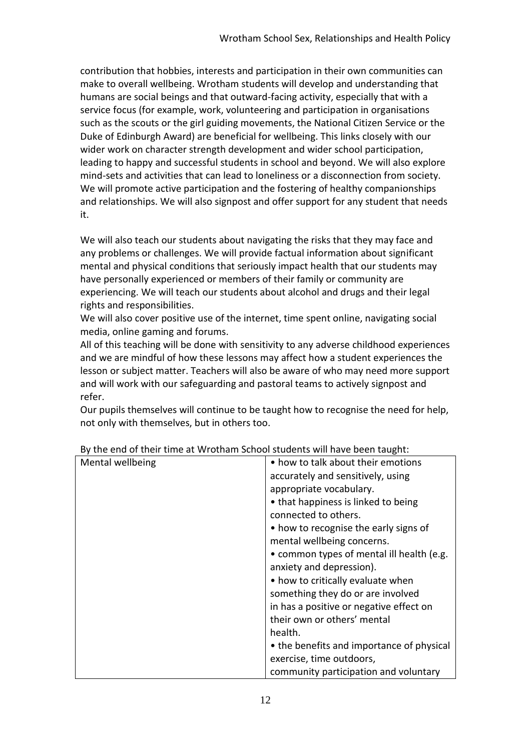contribution that hobbies, interests and participation in their own communities can make to overall wellbeing. Wrotham students will develop and understanding that humans are social beings and that outward-facing activity, especially that with a service focus (for example, work, volunteering and participation in organisations such as the scouts or the girl guiding movements, the National Citizen Service or the Duke of Edinburgh Award) are beneficial for wellbeing. This links closely with our wider work on character strength development and wider school participation, leading to happy and successful students in school and beyond. We will also explore mind-sets and activities that can lead to loneliness or a disconnection from society. We will promote active participation and the fostering of healthy companionships and relationships. We will also signpost and offer support for any student that needs it.

We will also teach our students about navigating the risks that they may face and any problems or challenges. We will provide factual information about significant mental and physical conditions that seriously impact health that our students may have personally experienced or members of their family or community are experiencing. We will teach our students about alcohol and drugs and their legal rights and responsibilities.

We will also cover positive use of the internet, time spent online, navigating social media, online gaming and forums.

All of this teaching will be done with sensitivity to any adverse childhood experiences and we are mindful of how these lessons may affect how a student experiences the lesson or subject matter. Teachers will also be aware of who may need more support and will work with our safeguarding and pastoral teams to actively signpost and refer.

Our pupils themselves will continue to be taught how to recognise the need for help, not only with themselves, but in others too.

| Mental wellbeing | • how to talk about their emotions        |
|------------------|-------------------------------------------|
|                  | accurately and sensitively, using         |
|                  | appropriate vocabulary.                   |
|                  | • that happiness is linked to being       |
|                  | connected to others.                      |
|                  | • how to recognise the early signs of     |
|                  | mental wellbeing concerns.                |
|                  | • common types of mental ill health (e.g. |
|                  | anxiety and depression).                  |
|                  | • how to critically evaluate when         |
|                  | something they do or are involved         |
|                  | in has a positive or negative effect on   |
|                  | their own or others' mental               |
|                  | health.                                   |
|                  | • the benefits and importance of physical |
|                  | exercise, time outdoors,                  |
|                  | community participation and voluntary     |

By the end of their time at Wrotham School students will have been taught: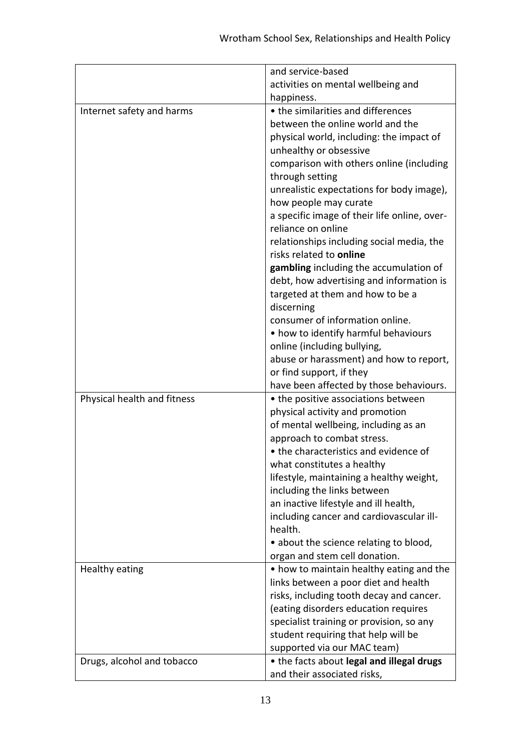|                             | and service-based                            |
|-----------------------------|----------------------------------------------|
|                             | activities on mental wellbeing and           |
|                             | happiness.                                   |
| Internet safety and harms   | • the similarities and differences           |
|                             | between the online world and the             |
|                             | physical world, including: the impact of     |
|                             | unhealthy or obsessive                       |
|                             | comparison with others online (including     |
|                             | through setting                              |
|                             | unrealistic expectations for body image),    |
|                             | how people may curate                        |
|                             | a specific image of their life online, over- |
|                             | reliance on online                           |
|                             | relationships including social media, the    |
|                             | risks related to online                      |
|                             | gambling including the accumulation of       |
|                             | debt, how advertising and information is     |
|                             | targeted at them and how to be a             |
|                             | discerning                                   |
|                             | consumer of information online.              |
|                             | • how to identify harmful behaviours         |
|                             | online (including bullying,                  |
|                             | abuse or harassment) and how to report,      |
|                             | or find support, if they                     |
|                             | have been affected by those behaviours.      |
| Physical health and fitness | • the positive associations between          |
|                             | physical activity and promotion              |
|                             | of mental wellbeing, including as an         |
|                             | approach to combat stress.                   |
|                             | • the characteristics and evidence of        |
|                             | what constitutes a healthy                   |
|                             | lifestyle, maintaining a healthy weight,     |
|                             | including the links between                  |
|                             | an inactive lifestyle and ill health,        |
|                             | including cancer and cardiovascular ill-     |
|                             | health.                                      |
|                             | • about the science relating to blood,       |
|                             | organ and stem cell donation.                |
| Healthy eating              | • how to maintain healthy eating and the     |
|                             | links between a poor diet and health         |
|                             | risks, including tooth decay and cancer.     |
|                             | (eating disorders education requires         |
|                             | specialist training or provision, so any     |
|                             | student requiring that help will be          |
|                             | supported via our MAC team)                  |
| Drugs, alcohol and tobacco  | • the facts about legal and illegal drugs    |
|                             | and their associated risks,                  |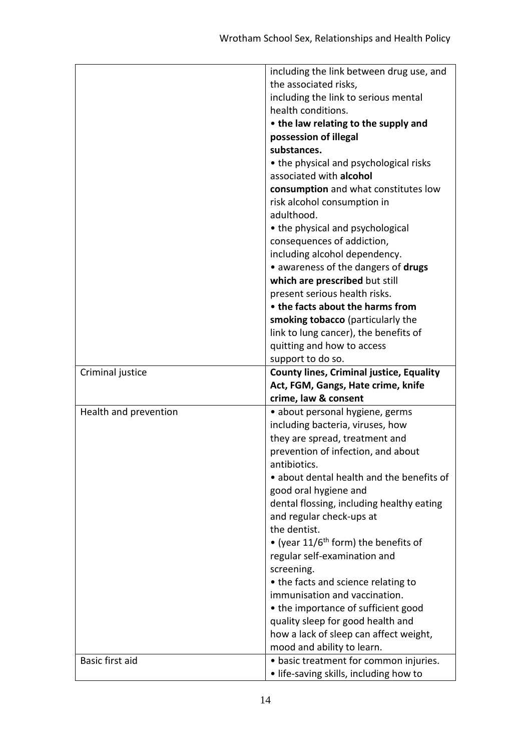|                       | including the link between drug use, and           |
|-----------------------|----------------------------------------------------|
|                       | the associated risks,                              |
|                       | including the link to serious mental               |
|                       | health conditions.                                 |
|                       | • the law relating to the supply and               |
|                       | possession of illegal                              |
|                       | substances.                                        |
|                       | • the physical and psychological risks             |
|                       | associated with alcohol                            |
|                       | consumption and what constitutes low               |
|                       | risk alcohol consumption in                        |
|                       | adulthood.                                         |
|                       | • the physical and psychological                   |
|                       | consequences of addiction,                         |
|                       | including alcohol dependency.                      |
|                       | • awareness of the dangers of drugs                |
|                       | which are prescribed but still                     |
|                       | present serious health risks.                      |
|                       | • the facts about the harms from                   |
|                       | smoking tobacco (particularly the                  |
|                       | link to lung cancer), the benefits of              |
|                       | quitting and how to access                         |
|                       | support to do so.                                  |
|                       | <b>County lines, Criminal justice, Equality</b>    |
| Criminal justice      |                                                    |
|                       | Act, FGM, Gangs, Hate crime, knife                 |
|                       | crime, law & consent                               |
| Health and prevention | • about personal hygiene, germs                    |
|                       | including bacteria, viruses, how                   |
|                       | they are spread, treatment and                     |
|                       | prevention of infection, and about                 |
|                       | antibiotics.                                       |
|                       | • about dental health and the benefits of          |
|                       | good oral hygiene and                              |
|                       | dental flossing, including healthy eating          |
|                       | and regular check-ups at                           |
|                       | the dentist.                                       |
|                       | • (year $11/6$ <sup>th</sup> form) the benefits of |
|                       | regular self-examination and                       |
|                       | screening.                                         |
|                       | • the facts and science relating to                |
|                       | immunisation and vaccination.                      |
|                       | • the importance of sufficient good                |
|                       | quality sleep for good health and                  |
|                       | how a lack of sleep can affect weight,             |
|                       | mood and ability to learn.                         |
| Basic first aid       | • basic treatment for common injuries.             |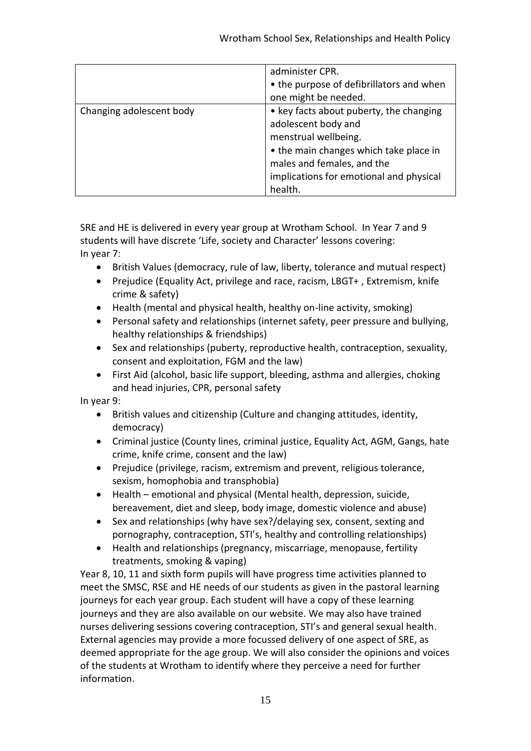|                          | administer CPR.                          |
|--------------------------|------------------------------------------|
|                          | • the purpose of defibrillators and when |
|                          | one might be needed.                     |
| Changing adolescent body | • key facts about puberty, the changing  |
|                          | adolescent body and                      |
|                          | menstrual wellbeing.                     |
|                          | • the main changes which take place in   |
|                          | males and females, and the               |
|                          | implications for emotional and physical  |
|                          | health.                                  |

SRE and HE is delivered in every year group at Wrotham School. In Year 7 and 9 students will have discrete 'Life, society and Character' lessons covering: In year 7:

- British Values (democracy, rule of law, liberty, tolerance and mutual respect)
- Prejudice (Equality Act, privilege and race, racism, LBGT+ , Extremism, knife crime & safety)
- Health (mental and physical health, healthy on-line activity, smoking)
- Personal safety and relationships (internet safety, peer pressure and bullying, healthy relationships & friendships)
- Sex and relationships (puberty, reproductive health, contraception, sexuality, consent and exploitation, FGM and the law)
- First Aid (alcohol, basic life support, bleeding, asthma and allergies, choking and head injuries, CPR, personal safety

In year 9:

- British values and citizenship (Culture and changing attitudes, identity, democracy)
- Criminal justice (County lines, criminal justice, Equality Act, AGM, Gangs, hate crime, knife crime, consent and the law)
- Prejudice (privilege, racism, extremism and prevent, religious tolerance, sexism, homophobia and transphobia)
- Health emotional and physical (Mental health, depression, suicide, bereavement, diet and sleep, body image, domestic violence and abuse)
- Sex and relationships (why have sex?/delaying sex, consent, sexting and pornography, contraception, STI's, healthy and controlling relationships)
- Health and relationships (pregnancy, miscarriage, menopause, fertility treatments, smoking & vaping)

Year 8, 10, 11 and sixth form pupils will have progress time activities planned to meet the SMSC, RSE and HE needs of our students as given in the pastoral learning journeys for each year group. Each student will have a copy of these learning journeys and they are also available on our website. We may also have trained nurses delivering sessions covering contraception, STI's and general sexual health. External agencies may provide a more focussed delivery of one aspect of SRE, as deemed appropriate for the age group. We will also consider the opinions and voices of the students at Wrotham to identify where they perceive a need for further information.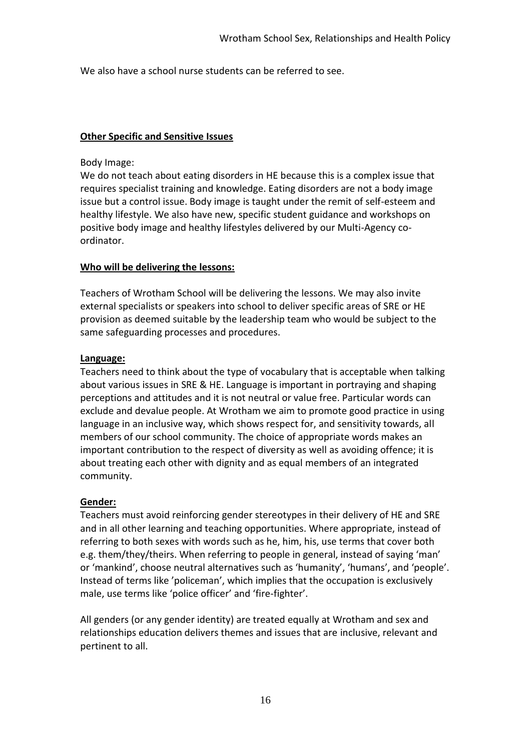We also have a school nurse students can be referred to see.

## **Other Specific and Sensitive Issues**

#### Body Image:

We do not teach about eating disorders in HE because this is a complex issue that requires specialist training and knowledge. Eating disorders are not a body image issue but a control issue. Body image is taught under the remit of self-esteem and healthy lifestyle. We also have new, specific student guidance and workshops on positive body image and healthy lifestyles delivered by our Multi-Agency coordinator.

## **Who will be delivering the lessons:**

Teachers of Wrotham School will be delivering the lessons. We may also invite external specialists or speakers into school to deliver specific areas of SRE or HE provision as deemed suitable by the leadership team who would be subject to the same safeguarding processes and procedures.

## **Language:**

Teachers need to think about the type of vocabulary that is acceptable when talking about various issues in SRE & HE. Language is important in portraying and shaping perceptions and attitudes and it is not neutral or value free. Particular words can exclude and devalue people. At Wrotham we aim to promote good practice in using language in an inclusive way, which shows respect for, and sensitivity towards, all members of our school community. The choice of appropriate words makes an important contribution to the respect of diversity as well as avoiding offence; it is about treating each other with dignity and as equal members of an integrated community.

# **Gender:**

Teachers must avoid reinforcing gender stereotypes in their delivery of HE and SRE and in all other learning and teaching opportunities. Where appropriate, instead of referring to both sexes with words such as he, him, his, use terms that cover both e.g. them/they/theirs. When referring to people in general, instead of saying 'man' or 'mankind', choose neutral alternatives such as 'humanity', 'humans', and 'people'. Instead of terms like 'policeman', which implies that the occupation is exclusively male, use terms like 'police officer' and 'fire-fighter'.

All genders (or any gender identity) are treated equally at Wrotham and sex and relationships education delivers themes and issues that are inclusive, relevant and pertinent to all.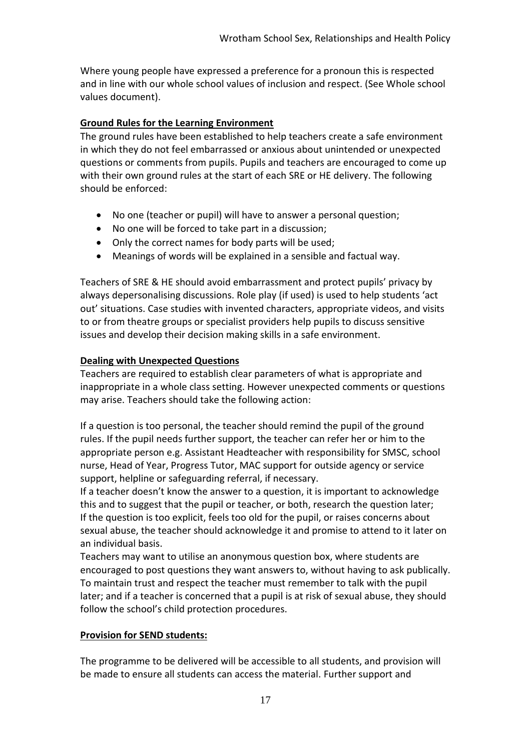Where young people have expressed a preference for a pronoun this is respected and in line with our whole school values of inclusion and respect. (See Whole school values document).

# **Ground Rules for the Learning Environment**

The ground rules have been established to help teachers create a safe environment in which they do not feel embarrassed or anxious about unintended or unexpected questions or comments from pupils. Pupils and teachers are encouraged to come up with their own ground rules at the start of each SRE or HE delivery. The following should be enforced:

- No one (teacher or pupil) will have to answer a personal question;
- No one will be forced to take part in a discussion;
- Only the correct names for body parts will be used;
- Meanings of words will be explained in a sensible and factual way.

Teachers of SRE & HE should avoid embarrassment and protect pupils' privacy by always depersonalising discussions. Role play (if used) is used to help students 'act out' situations. Case studies with invented characters, appropriate videos, and visits to or from theatre groups or specialist providers help pupils to discuss sensitive issues and develop their decision making skills in a safe environment.

# **Dealing with Unexpected Questions**

Teachers are required to establish clear parameters of what is appropriate and inappropriate in a whole class setting. However unexpected comments or questions may arise. Teachers should take the following action:

If a question is too personal, the teacher should remind the pupil of the ground rules. If the pupil needs further support, the teacher can refer her or him to the appropriate person e.g. Assistant Headteacher with responsibility for SMSC, school nurse, Head of Year, Progress Tutor, MAC support for outside agency or service support, helpline or safeguarding referral, if necessary.

If a teacher doesn't know the answer to a question, it is important to acknowledge this and to suggest that the pupil or teacher, or both, research the question later; If the question is too explicit, feels too old for the pupil, or raises concerns about sexual abuse, the teacher should acknowledge it and promise to attend to it later on an individual basis.

Teachers may want to utilise an anonymous question box, where students are encouraged to post questions they want answers to, without having to ask publically. To maintain trust and respect the teacher must remember to talk with the pupil later; and if a teacher is concerned that a pupil is at risk of sexual abuse, they should follow the school's child protection procedures.

# **Provision for SEND students:**

The programme to be delivered will be accessible to all students, and provision will be made to ensure all students can access the material. Further support and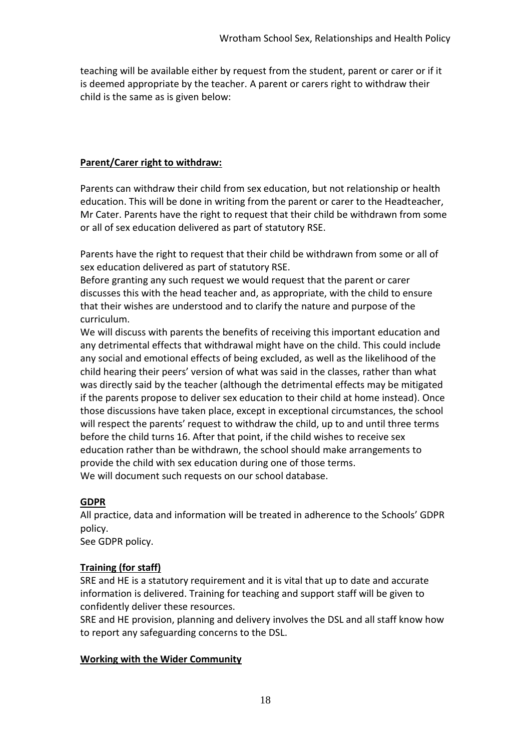teaching will be available either by request from the student, parent or carer or if it is deemed appropriate by the teacher. A parent or carers right to withdraw their child is the same as is given below:

# **Parent/Carer right to withdraw:**

Parents can withdraw their child from sex education, but not relationship or health education. This will be done in writing from the parent or carer to the Headteacher, Mr Cater. Parents have the right to request that their child be withdrawn from some or all of sex education delivered as part of statutory RSE.

Parents have the right to request that their child be withdrawn from some or all of sex education delivered as part of statutory RSE.

Before granting any such request we would request that the parent or carer discusses this with the head teacher and, as appropriate, with the child to ensure that their wishes are understood and to clarify the nature and purpose of the curriculum.

We will discuss with parents the benefits of receiving this important education and any detrimental effects that withdrawal might have on the child. This could include any social and emotional effects of being excluded, as well as the likelihood of the child hearing their peers' version of what was said in the classes, rather than what was directly said by the teacher (although the detrimental effects may be mitigated if the parents propose to deliver sex education to their child at home instead). Once those discussions have taken place, except in exceptional circumstances, the school will respect the parents' request to withdraw the child, up to and until three terms before the child turns 16. After that point, if the child wishes to receive sex education rather than be withdrawn, the school should make arrangements to provide the child with sex education during one of those terms. We will document such requests on our school database.

# **GDPR**

All practice, data and information will be treated in adherence to the Schools' GDPR policy.

See GDPR policy.

# **Training (for staff)**

SRE and HE is a statutory requirement and it is vital that up to date and accurate information is delivered. Training for teaching and support staff will be given to confidently deliver these resources.

SRE and HE provision, planning and delivery involves the DSL and all staff know how to report any safeguarding concerns to the DSL.

# **Working with the Wider Community**